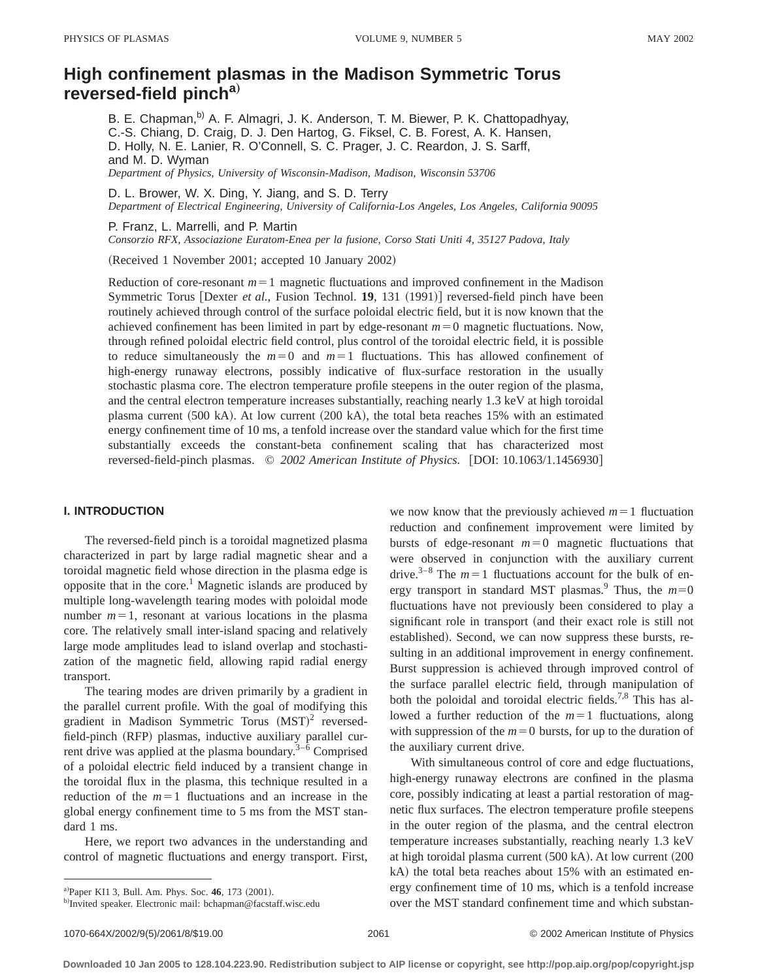# **High confinement plasmas in the Madison Symmetric Torus reversed-field pincha**…

B. E. Chapman,<sup>b)</sup> A. F. Almagri, J. K. Anderson, T. M. Biewer, P. K. Chattopadhyay, C.-S. Chiang, D. Craig, D. J. Den Hartog, G. Fiksel, C. B. Forest, A. K. Hansen, D. Holly, N. E. Lanier, R. O'Connell, S. C. Prager, J. C. Reardon, J. S. Sarff, and M. D. Wyman *Department of Physics, University of Wisconsin-Madison, Madison, Wisconsin 53706*

D. L. Brower, W. X. Ding, Y. Jiang, and S. D. Terry *Department of Electrical Engineering, University of California-Los Angeles, Los Angeles, California 90095*

P. Franz, L. Marrelli, and P. Martin

*Consorzio RFX, Associazione Euratom-Enea per la fusione, Corso Stati Uniti 4, 35127 Padova, Italy*

(Received 1 November 2001; accepted 10 January 2002)

Reduction of core-resonant  $m=1$  magnetic fluctuations and improved confinement in the Madison Symmetric Torus [Dexter *et al.*, Fusion Technol. **19**, 131  $(1991)$ ] reversed-field pinch have been routinely achieved through control of the surface poloidal electric field, but it is now known that the achieved confinement has been limited in part by edge-resonant  $m=0$  magnetic fluctuations. Now, through refined poloidal electric field control, plus control of the toroidal electric field, it is possible to reduce simultaneously the  $m=0$  and  $m=1$  fluctuations. This has allowed confinement of high-energy runaway electrons, possibly indicative of flux-surface restoration in the usually stochastic plasma core. The electron temperature profile steepens in the outer region of the plasma, and the central electron temperature increases substantially, reaching nearly 1.3 keV at high toroidal plasma current  $(500 \text{ kA})$ . At low current  $(200 \text{ kA})$ , the total beta reaches 15% with an estimated energy confinement time of 10 ms, a tenfold increase over the standard value which for the first time substantially exceeds the constant-beta confinement scaling that has characterized most reversed-field-pinch plasmas.  $\degree$  2002 American Institute of Physics. [DOI: 10.1063/1.1456930]

## **I. INTRODUCTION**

The reversed-field pinch is a toroidal magnetized plasma characterized in part by large radial magnetic shear and a toroidal magnetic field whose direction in the plasma edge is opposite that in the core.<sup>1</sup> Magnetic islands are produced by multiple long-wavelength tearing modes with poloidal mode number  $m=1$ , resonant at various locations in the plasma core. The relatively small inter-island spacing and relatively large mode amplitudes lead to island overlap and stochastization of the magnetic field, allowing rapid radial energy transport.

The tearing modes are driven primarily by a gradient in the parallel current profile. With the goal of modifying this gradient in Madison Symmetric Torus  $(MST)^2$  reversedfield-pinch (RFP) plasmas, inductive auxiliary parallel current drive was applied at the plasma boundary.<sup>3–6</sup> Comprised of a poloidal electric field induced by a transient change in the toroidal flux in the plasma, this technique resulted in a reduction of the  $m=1$  fluctuations and an increase in the global energy confinement time to 5 ms from the MST standard 1 ms.

Here, we report two advances in the understanding and control of magnetic fluctuations and energy transport. First, we now know that the previously achieved  $m=1$  fluctuation reduction and confinement improvement were limited by bursts of edge-resonant  $m=0$  magnetic fluctuations that were observed in conjunction with the auxiliary current drive.<sup>3–8</sup> The  $m=1$  fluctuations account for the bulk of energy transport in standard MST plasmas.<sup>9</sup> Thus, the  $m=0$ fluctuations have not previously been considered to play a significant role in transport (and their exact role is still not established). Second, we can now suppress these bursts, resulting in an additional improvement in energy confinement. Burst suppression is achieved through improved control of the surface parallel electric field, through manipulation of both the poloidal and toroidal electric fields.<sup>7,8</sup> This has allowed a further reduction of the  $m=1$  fluctuations, along with suppression of the  $m=0$  bursts, for up to the duration of the auxiliary current drive.

With simultaneous control of core and edge fluctuations, high-energy runaway electrons are confined in the plasma core, possibly indicating at least a partial restoration of magnetic flux surfaces. The electron temperature profile steepens in the outer region of the plasma, and the central electron temperature increases substantially, reaching nearly 1.3 keV at high toroidal plasma current  $(500$  kA). At low current  $(200$ kA) the total beta reaches about 15% with an estimated energy confinement time of 10 ms, which is a tenfold increase over the MST standard confinement time and which substan-

a)Paper KI1 3, Bull. Am. Phys. Soc. 46, 173 (2001).

b)Invited speaker. Electronic mail: bchapman@facstaff.wisc.edu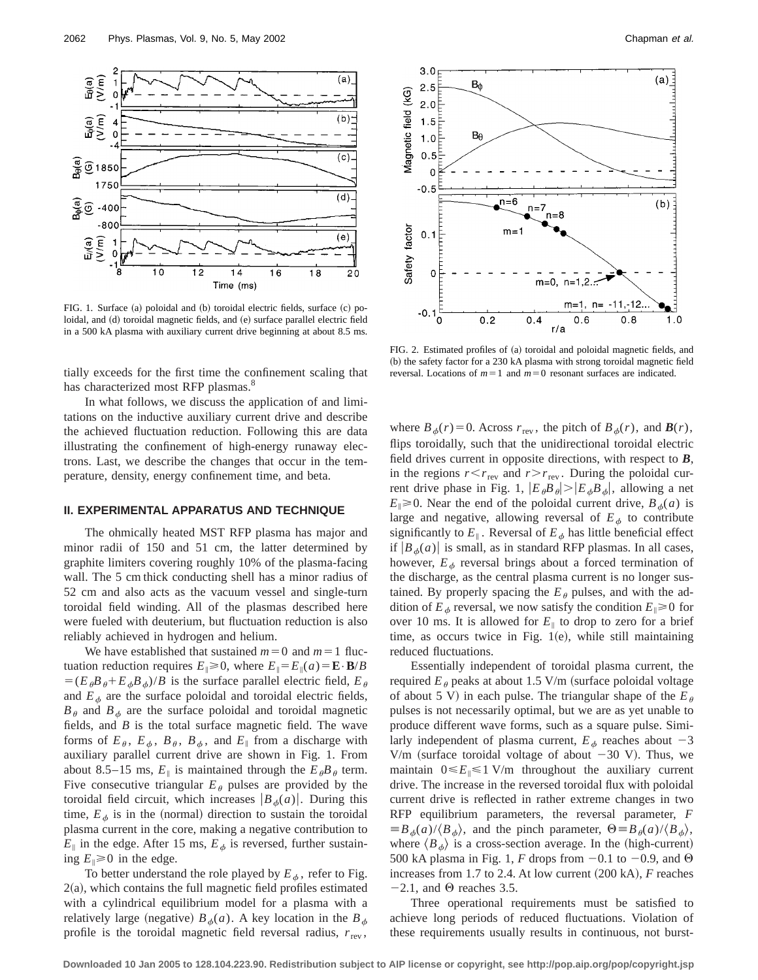

FIG. 1. Surface (a) poloidal and (b) toroidal electric fields, surface (c) poloidal, and (d) toroidal magnetic fields, and (e) surface parallel electric field in a 500 kA plasma with auxiliary current drive beginning at about 8.5 ms.

tially exceeds for the first time the confinement scaling that has characterized most RFP plasmas.<sup>8</sup>

In what follows, we discuss the application of and limitations on the inductive auxiliary current drive and describe the achieved fluctuation reduction. Following this are data illustrating the confinement of high-energy runaway electrons. Last, we describe the changes that occur in the temperature, density, energy confinement time, and beta.

## **II. EXPERIMENTAL APPARATUS AND TECHNIQUE**

The ohmically heated MST RFP plasma has major and minor radii of 150 and 51 cm, the latter determined by graphite limiters covering roughly 10% of the plasma-facing wall. The 5 cm thick conducting shell has a minor radius of 52 cm and also acts as the vacuum vessel and single-turn toroidal field winding. All of the plasmas described here were fueled with deuterium, but fluctuation reduction is also reliably achieved in hydrogen and helium.

We have established that sustained  $m=0$  and  $m=1$  fluctuation reduction requires  $E_{\parallel} \ge 0$ , where  $E_{\parallel} = E_{\parallel}(a) = \mathbf{E} \cdot \mathbf{B}/B$  $=(E_{\theta}B_{\theta}+E_{\theta}B_{\phi})/B$  is the surface parallel electric field,  $E_{\theta}$ and  $E_{\phi}$  are the surface poloidal and toroidal electric fields,  $B_\theta$  and  $B_\phi$  are the surface poloidal and toroidal magnetic fields, and *B* is the total surface magnetic field. The wave forms of  $E_{\theta}$ ,  $E_{\phi}$ ,  $B_{\theta}$ ,  $B_{\phi}$ , and  $E_{\parallel}$  from a discharge with auxiliary parallel current drive are shown in Fig. 1. From about 8.5–15 ms,  $E_{\parallel}$  is maintained through the  $E_{\theta}B_{\theta}$  term. Five consecutive triangular  $E_{\theta}$  pulses are provided by the toroidal field circuit, which increases  $\left|B_{\phi}(a)\right|$ . During this time,  $E_{\phi}$  is in the (normal) direction to sustain the toroidal plasma current in the core, making a negative contribution to  $E_{\parallel}$  in the edge. After 15 ms,  $E_{\phi}$  is reversed, further sustaining  $E_{\parallel} \ge 0$  in the edge.

To better understand the role played by  $E_{\phi}$ , refer to Fig.  $2(a)$ , which contains the full magnetic field profiles estimated with a cylindrical equilibrium model for a plasma with a relatively large (negative)  $B_{\phi}(a)$ . A key location in the  $B_{\phi}$ profile is the toroidal magnetic field reversal radius,  $r_{\text{rev}}$ ,



FIG. 2. Estimated profiles of (a) toroidal and poloidal magnetic fields, and (b) the safety factor for a 230 kA plasma with strong toroidal magnetic field reversal. Locations of  $m=1$  and  $m=0$  resonant surfaces are indicated.

where  $B_{\phi}(r) = 0$ . Across  $r_{\text{rev}}$ , the pitch of  $B_{\phi}(r)$ , and  $\mathbf{B}(r)$ , flips toroidally, such that the unidirectional toroidal electric field drives current in opposite directions, with respect to *B*, in the regions  $r < r_{\text{rev}}$  and  $r > r_{\text{rev}}$ . During the poloidal current drive phase in Fig. 1,  $|E_{\theta}B_{\theta}| > |E_{\phi}B_{\phi}|$ , allowing a net  $E_{\parallel} \ge 0$ . Near the end of the poloidal current drive,  $B_{\phi}(a)$  is large and negative, allowing reversal of  $E_{\phi}$  to contribute significantly to  $E_{\parallel}$ . Reversal of  $E_{\phi}$  has little beneficial effect if  $|B_{\phi}(a)|$  is small, as in standard RFP plasmas. In all cases, however,  $E_{\phi}$  reversal brings about a forced termination of the discharge, as the central plasma current is no longer sustained. By properly spacing the  $E_{\theta}$  pulses, and with the addition of  $E_{\phi}$  reversal, we now satisfy the condition  $E_{\parallel} \ge 0$  for over 10 ms. It is allowed for  $E_{\parallel}$  to drop to zero for a brief time, as occurs twice in Fig.  $1(e)$ , while still maintaining reduced fluctuations.

Essentially independent of toroidal plasma current, the required  $E_{\theta}$  peaks at about 1.5 V/m (surface poloidal voltage of about 5 V) in each pulse. The triangular shape of the  $E_{\theta}$ pulses is not necessarily optimal, but we are as yet unable to produce different wave forms, such as a square pulse. Similarly independent of plasma current,  $E_{\phi}$  reaches about  $-3$ V/m (surface toroidal voltage of about  $-30$  V). Thus, we maintain  $0 \le E_{\parallel} \le 1$  V/m throughout the auxiliary current drive. The increase in the reversed toroidal flux with poloidal current drive is reflected in rather extreme changes in two RFP equilibrium parameters, the reversal parameter, *F*  $\equiv B_{\phi}(a)/\langle B_{\phi}\rangle$ , and the pinch parameter,  $\Theta \equiv B_{\theta}(a)/\langle B_{\phi}\rangle$ , where  $\langle B_{\phi} \rangle$  is a cross-section average. In the (high-current) 500 kA plasma in Fig. 1, *F* drops from  $-0.1$  to  $-0.9$ , and  $\Theta$ increases from 1.7 to 2.4. At low current  $(200 \text{ kA})$ , *F* reaches  $-2.1$ , and  $\Theta$  reaches 3.5.

Three operational requirements must be satisfied to achieve long periods of reduced fluctuations. Violation of these requirements usually results in continuous, not burst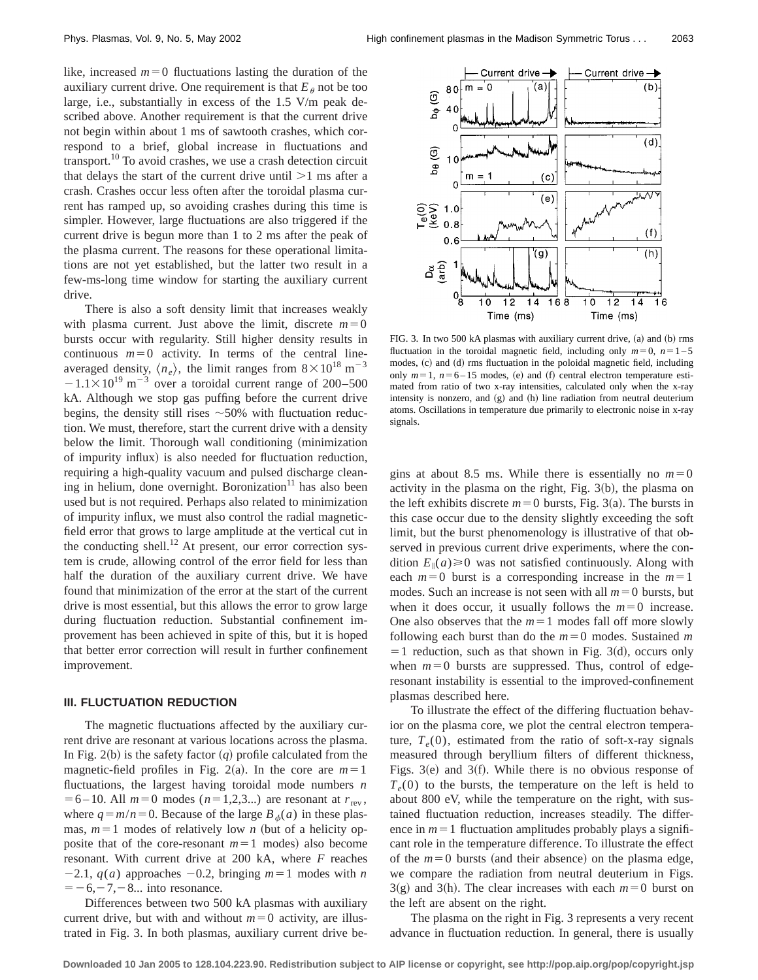like, increased  $m=0$  fluctuations lasting the duration of the auxiliary current drive. One requirement is that  $E_\theta$  not be too large, i.e., substantially in excess of the 1.5 V/m peak described above. Another requirement is that the current drive not begin within about 1 ms of sawtooth crashes, which correspond to a brief, global increase in fluctuations and transport. $^{10}$  To avoid crashes, we use a crash detection circuit that delays the start of the current drive until  $>1$  ms after a crash. Crashes occur less often after the toroidal plasma current has ramped up, so avoiding crashes during this time is simpler. However, large fluctuations are also triggered if the current drive is begun more than 1 to 2 ms after the peak of the plasma current. The reasons for these operational limitations are not yet established, but the latter two result in a few-ms-long time window for starting the auxiliary current drive.

There is also a soft density limit that increases weakly with plasma current. Just above the limit, discrete  $m=0$ bursts occur with regularity. Still higher density results in continuous  $m=0$  activity. In terms of the central lineaveraged density,  $\langle n_e \rangle$ , the limit ranges from  $8 \times 10^{18}$  m<sup>-3</sup>  $-1.1\times10^{19}$  m<sup>-3</sup> over a toroidal current range of 200–500 kA. Although we stop gas puffing before the current drive begins, the density still rises  $\sim$  50% with fluctuation reduction. We must, therefore, start the current drive with a density below the limit. Thorough wall conditioning (minimization of impurity influx) is also needed for fluctuation reduction, requiring a high-quality vacuum and pulsed discharge cleaning in helium, done overnight. Boronization $\mathbf{u}$  has also been used but is not required. Perhaps also related to minimization of impurity influx, we must also control the radial magneticfield error that grows to large amplitude at the vertical cut in the conducting shell.<sup>12</sup> At present, our error correction system is crude, allowing control of the error field for less than half the duration of the auxiliary current drive. We have found that minimization of the error at the start of the current drive is most essential, but this allows the error to grow large during fluctuation reduction. Substantial confinement improvement has been achieved in spite of this, but it is hoped that better error correction will result in further confinement improvement.

### **III. FLUCTUATION REDUCTION**

The magnetic fluctuations affected by the auxiliary current drive are resonant at various locations across the plasma. In Fig. 2(b) is the safety factor  $(q)$  profile calculated from the magnetic-field profiles in Fig. 2(a). In the core are  $m=1$ fluctuations, the largest having toroidal mode numbers *n*  $= 6 - 10$ . All  $m = 0$  modes ( $n = 1,2,3...$ ) are resonant at  $r_{\text{rev}}$ , where  $q = m/n = 0$ . Because of the large  $B_{\phi}(a)$  in these plasmas,  $m=1$  modes of relatively low *n* (but of a helicity opposite that of the core-resonant  $m=1$  modes) also become resonant. With current drive at 200 kA, where *F* reaches  $-2.1$ ,  $q(a)$  approaches  $-0.2$ , bringing  $m=1$  modes with *n*  $=$  -6, -7, -8... into resonance.

Differences between two 500 kA plasmas with auxiliary current drive, but with and without  $m=0$  activity, are illustrated in Fig. 3. In both plasmas, auxiliary current drive be-



FIG. 3. In two 500 kA plasmas with auxiliary current drive, (a) and (b) rms fluctuation in the toroidal magnetic field, including only  $m=0$ ,  $n=1-5$ modes, (c) and (d) rms fluctuation in the poloidal magnetic field, including only  $m=1$ ,  $n=6-15$  modes, (e) and (f) central electron temperature estimated from ratio of two x-ray intensities, calculated only when the x-ray intensity is nonzero, and  $(g)$  and  $(h)$  line radiation from neutral deuterium atoms. Oscillations in temperature due primarily to electronic noise in x-ray signals.

gins at about 8.5 ms. While there is essentially no  $m=0$ activity in the plasma on the right, Fig.  $3(b)$ , the plasma on the left exhibits discrete  $m=0$  bursts, Fig. 3(a). The bursts in this case occur due to the density slightly exceeding the soft limit, but the burst phenomenology is illustrative of that observed in previous current drive experiments, where the condition  $E_{\parallel}(a) \ge 0$  was not satisfied continuously. Along with each  $m=0$  burst is a corresponding increase in the  $m=1$ modes. Such an increase is not seen with all  $m=0$  bursts, but when it does occur, it usually follows the  $m=0$  increase. One also observes that the  $m=1$  modes fall off more slowly following each burst than do the  $m=0$  modes. Sustained m  $=$  1 reduction, such as that shown in Fig. 3(d), occurs only when  $m=0$  bursts are suppressed. Thus, control of edgeresonant instability is essential to the improved-confinement plasmas described here.

To illustrate the effect of the differing fluctuation behavior on the plasma core, we plot the central electron temperature,  $T_e(0)$ , estimated from the ratio of soft-x-ray signals measured through beryllium filters of different thickness, Figs.  $3(e)$  and  $3(f)$ . While there is no obvious response of  $T_e(0)$  to the bursts, the temperature on the left is held to about 800 eV, while the temperature on the right, with sustained fluctuation reduction, increases steadily. The difference in  $m=1$  fluctuation amplitudes probably plays a significant role in the temperature difference. To illustrate the effect of the  $m=0$  bursts (and their absence) on the plasma edge, we compare the radiation from neutral deuterium in Figs.  $3(g)$  and 3(h). The clear increases with each  $m=0$  burst on the left are absent on the right.

The plasma on the right in Fig. 3 represents a very recent advance in fluctuation reduction. In general, there is usually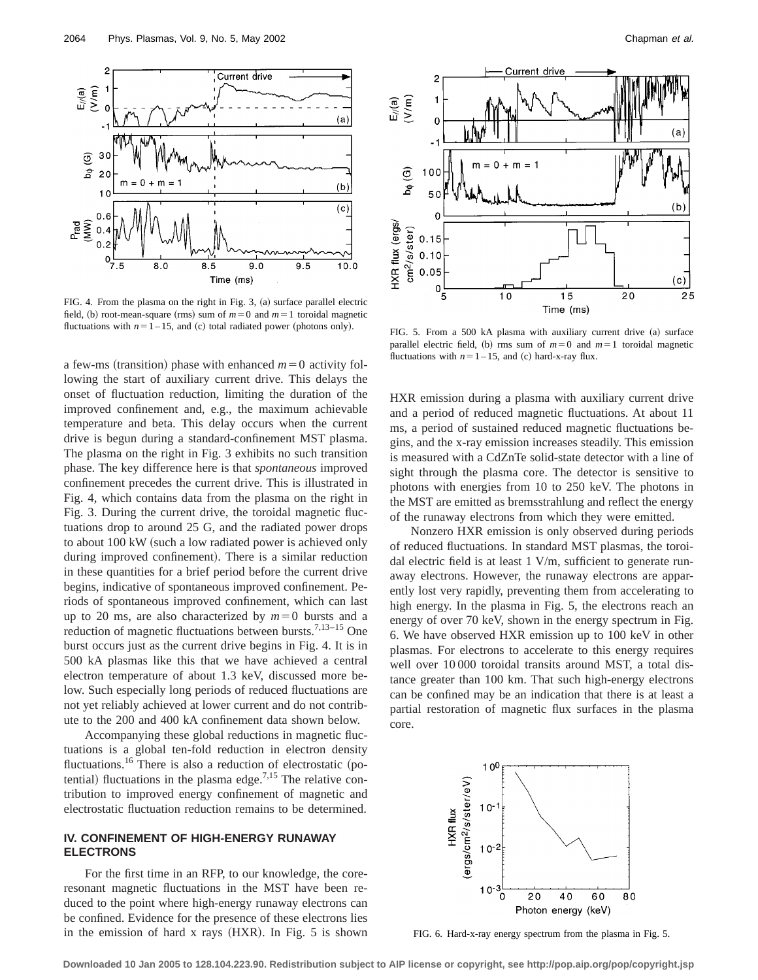

FIG. 4. From the plasma on the right in Fig. 3,  $(a)$  surface parallel electric field, (b) root-mean-square (rms) sum of  $m=0$  and  $m=1$  toroidal magnetic fluctuations with  $n=1-15$ , and (c) total radiated power (photons only). FIG. 5. From a 500 kA plasma with auxiliary current drive (a) surface

a few-ms (transition) phase with enhanced  $m=0$  activity following the start of auxiliary current drive. This delays the onset of fluctuation reduction, limiting the duration of the improved confinement and, e.g., the maximum achievable temperature and beta. This delay occurs when the current drive is begun during a standard-confinement MST plasma. The plasma on the right in Fig. 3 exhibits no such transition phase. The key difference here is that *spontaneous* improved confinement precedes the current drive. This is illustrated in Fig. 4, which contains data from the plasma on the right in Fig. 3. During the current drive, the toroidal magnetic fluctuations drop to around 25 G, and the radiated power drops to about 100 kW (such a low radiated power is achieved only during improved confinement). There is a similar reduction in these quantities for a brief period before the current drive begins, indicative of spontaneous improved confinement. Periods of spontaneous improved confinement, which can last up to 20 ms, are also characterized by  $m=0$  bursts and a reduction of magnetic fluctuations between bursts.<sup>7,13-15</sup> One burst occurs just as the current drive begins in Fig. 4. It is in 500 kA plasmas like this that we have achieved a central electron temperature of about 1.3 keV, discussed more below. Such especially long periods of reduced fluctuations are not yet reliably achieved at lower current and do not contribute to the 200 and 400 kA confinement data shown below.

Accompanying these global reductions in magnetic fluctuations is a global ten-fold reduction in electron density fluctuations.<sup>16</sup> There is also a reduction of electrostatic (potential) fluctuations in the plasma edge.<sup>7,15</sup> The relative contribution to improved energy confinement of magnetic and electrostatic fluctuation reduction remains to be determined.

## **IV. CONFINEMENT OF HIGH-ENERGY RUNAWAY ELECTRONS**

For the first time in an RFP, to our knowledge, the coreresonant magnetic fluctuations in the MST have been reduced to the point where high-energy runaway electrons can be confined. Evidence for the presence of these electrons lies in the emission of hard  $x$  rays  $(HXR)$ . In Fig. 5 is shown



parallel electric field, (b) rms sum of  $m=0$  and  $m=1$  toroidal magnetic fluctuations with  $n=1-15$ , and (c) hard-x-ray flux.

HXR emission during a plasma with auxiliary current drive and a period of reduced magnetic fluctuations. At about 11 ms, a period of sustained reduced magnetic fluctuations begins, and the x-ray emission increases steadily. This emission is measured with a CdZnTe solid-state detector with a line of sight through the plasma core. The detector is sensitive to photons with energies from 10 to 250 keV. The photons in the MST are emitted as bremsstrahlung and reflect the energy of the runaway electrons from which they were emitted.

Nonzero HXR emission is only observed during periods of reduced fluctuations. In standard MST plasmas, the toroidal electric field is at least 1 V/m, sufficient to generate runaway electrons. However, the runaway electrons are apparently lost very rapidly, preventing them from accelerating to high energy. In the plasma in Fig. 5, the electrons reach an energy of over 70 keV, shown in the energy spectrum in Fig. 6. We have observed HXR emission up to 100 keV in other plasmas. For electrons to accelerate to this energy requires well over 10 000 toroidal transits around MST, a total distance greater than 100 km. That such high-energy electrons can be confined may be an indication that there is at least a partial restoration of magnetic flux surfaces in the plasma core.



FIG. 6. Hard-x-ray energy spectrum from the plasma in Fig. 5.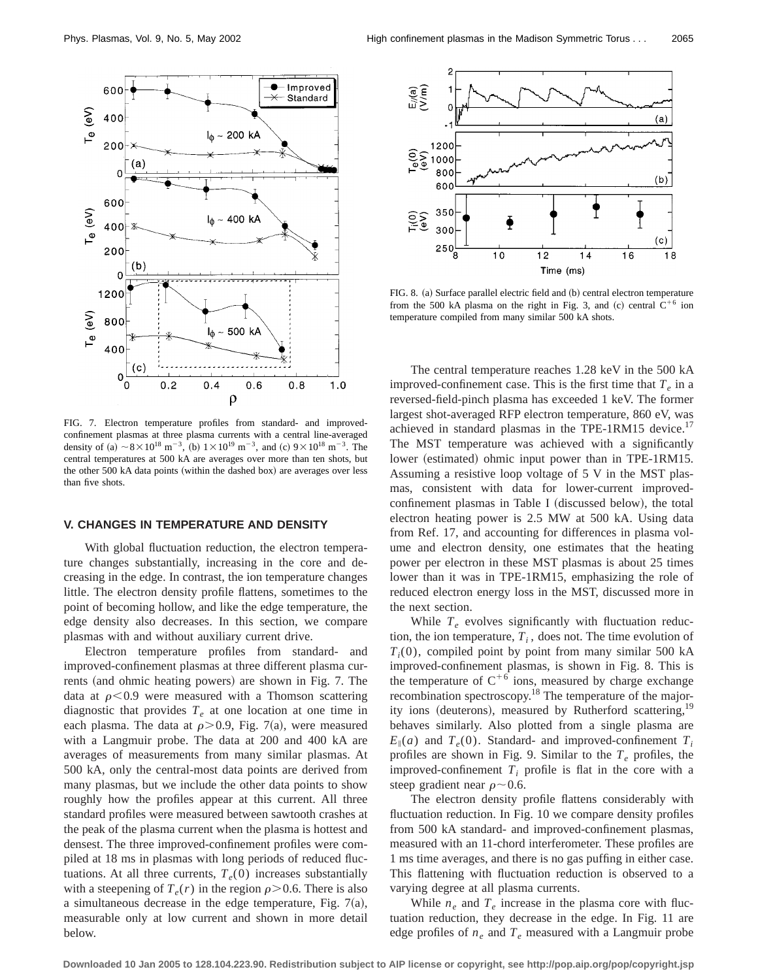

FIG. 7. Electron temperature profiles from standard- and improvedconfinement plasmas at three plasma currents with a central line-averaged density of (a)  $\sim 8 \times 10^{18}$  m<sup>-3</sup>, (b)  $1 \times 10^{19}$  m<sup>-3</sup>, and (c)  $9 \times 10^{18}$  m<sup>-3</sup>. The central temperatures at 500 kA are averages over more than ten shots, but the other 500 kA data points (within the dashed box) are averages over less than five shots.

## **V. CHANGES IN TEMPERATURE AND DENSITY**

With global fluctuation reduction, the electron temperature changes substantially, increasing in the core and decreasing in the edge. In contrast, the ion temperature changes little. The electron density profile flattens, sometimes to the point of becoming hollow, and like the edge temperature, the edge density also decreases. In this section, we compare plasmas with and without auxiliary current drive.

Electron temperature profiles from standard- and improved-confinement plasmas at three different plasma currents (and ohmic heating powers) are shown in Fig. 7. The data at  $\rho$ <0.9 were measured with a Thomson scattering diagnostic that provides  $T<sub>e</sub>$  at one location at one time in each plasma. The data at  $\rho$  > 0.9, Fig. 7(a), were measured with a Langmuir probe. The data at 200 and 400 kA are averages of measurements from many similar plasmas. At 500 kA, only the central-most data points are derived from many plasmas, but we include the other data points to show roughly how the profiles appear at this current. All three standard profiles were measured between sawtooth crashes at the peak of the plasma current when the plasma is hottest and densest. The three improved-confinement profiles were compiled at 18 ms in plasmas with long periods of reduced fluctuations. At all three currents,  $T_e(0)$  increases substantially with a steepening of  $T_e(r)$  in the region  $\rho > 0.6$ . There is also a simultaneous decrease in the edge temperature, Fig.  $7(a)$ , measurable only at low current and shown in more detail below.



FIG. 8. (a) Surface parallel electric field and (b) central electron temperature from the 500 kA plasma on the right in Fig. 3, and (c) central  $C^{+6}$  ion temperature compiled from many similar 500 kA shots.

The central temperature reaches 1.28 keV in the 500 kA improved-confinement case. This is the first time that  $T_e$  in a reversed-field-pinch plasma has exceeded 1 keV. The former largest shot-averaged RFP electron temperature, 860 eV, was achieved in standard plasmas in the TPE-1RM15 device.<sup>17</sup> The MST temperature was achieved with a significantly lower (estimated) ohmic input power than in TPE-1RM15. Assuming a resistive loop voltage of 5 V in the MST plasmas, consistent with data for lower-current improvedconfinement plasmas in Table I (discussed below), the total electron heating power is 2.5 MW at 500 kA. Using data from Ref. 17, and accounting for differences in plasma volume and electron density, one estimates that the heating power per electron in these MST plasmas is about 25 times lower than it was in TPE-1RM15, emphasizing the role of reduced electron energy loss in the MST, discussed more in the next section.

While  $T_e$  evolves significantly with fluctuation reduction, the ion temperature,  $T_i$ , does not. The time evolution of  $T_i(0)$ , compiled point by point from many similar 500 kA improved-confinement plasmas, is shown in Fig. 8. This is the temperature of  $C^{+6}$  ions, measured by charge exchange recombination spectroscopy.18 The temperature of the majority ions (deuterons), measured by Rutherford scattering,<sup>19</sup> behaves similarly. Also plotted from a single plasma are  $E_{\parallel}(a)$  and  $T_e(0)$ . Standard- and improved-confinement  $T_i$ profiles are shown in Fig. 9. Similar to the  $T_e$  profiles, the improved-confinement  $T_i$  profile is flat in the core with a steep gradient near  $\rho \sim 0.6$ .

The electron density profile flattens considerably with fluctuation reduction. In Fig. 10 we compare density profiles from 500 kA standard- and improved-confinement plasmas, measured with an 11-chord interferometer. These profiles are 1 ms time averages, and there is no gas puffing in either case. This flattening with fluctuation reduction is observed to a varying degree at all plasma currents.

While  $n_e$  and  $T_e$  increase in the plasma core with fluctuation reduction, they decrease in the edge. In Fig. 11 are edge profiles of  $n_e$  and  $T_e$  measured with a Langmuir probe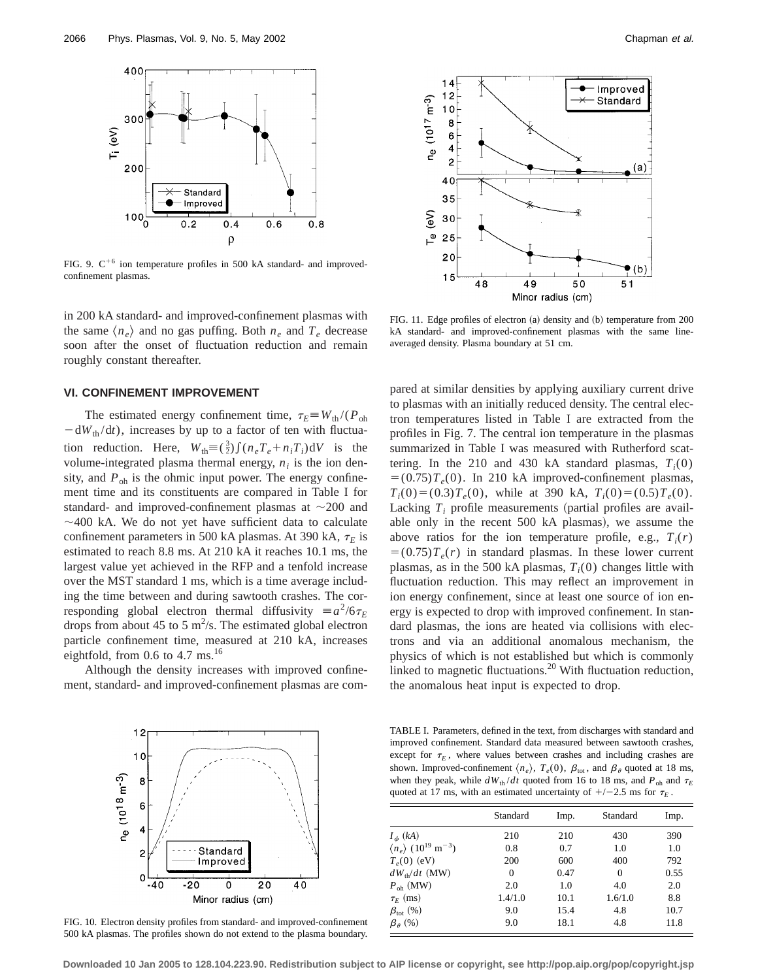

FIG. 9.  $C^{+6}$  ion temperature profiles in 500 kA standard- and improvedconfinement plasmas.

in 200 kA standard- and improved-confinement plasmas with the same  $\langle n_e \rangle$  and no gas puffing. Both  $n_e$  and  $T_e$  decrease soon after the onset of fluctuation reduction and remain roughly constant thereafter.

## **VI. CONFINEMENT IMPROVEMENT**

The estimated energy confinement time,  $\tau_E \equiv W_{th}/(P_{oh})$  $-dW_{th}/dt$ ), increases by up to a factor of ten with fluctuation reduction. Here,  $W_{\text{th}} = (\frac{3}{2}) \int (n_e T_e + n_i T_i) dV$  is the volume-integrated plasma thermal energy,  $n_i$  is the ion density, and  $P_{\text{oh}}$  is the ohmic input power. The energy confinement time and its constituents are compared in Table I for standard- and improved-confinement plasmas at  $\sim$ 200 and  $\sim$  400 kA. We do not yet have sufficient data to calculate confinement parameters in 500 kA plasmas. At 390 kA,  $\tau_E$  is estimated to reach 8.8 ms. At 210 kA it reaches 10.1 ms, the largest value yet achieved in the RFP and a tenfold increase over the MST standard 1 ms, which is a time average including the time between and during sawtooth crashes. The corresponding global electron thermal diffusivity  $\equiv a^2/6\tau_E$ drops from about 45 to 5  $\text{m}^2$ /s. The estimated global electron particle confinement time, measured at 210 kA, increases eightfold, from  $0.6$  to  $4.7 \text{ ms}$ .<sup>16</sup>

Although the density increases with improved confinement, standard- and improved-confinement plasmas are com-



FIG. 10. Electron density profiles from standard- and improved-confinement 500 kA plasmas. The profiles shown do not extend to the plasma boundary.



FIG. 11. Edge profiles of electron  $(a)$  density and  $(b)$  temperature from 200 kA standard- and improved-confinement plasmas with the same lineaveraged density. Plasma boundary at 51 cm.

pared at similar densities by applying auxiliary current drive to plasmas with an initially reduced density. The central electron temperatures listed in Table I are extracted from the profiles in Fig. 7. The central ion temperature in the plasmas summarized in Table I was measured with Rutherford scattering. In the 210 and 430 kA standard plasmas,  $T_i(0)$  $= (0.75)T<sub>e</sub>(0)$ . In 210 kA improved-confinement plasmas,  $T_i(0)=(0.3)T_e(0)$ , while at 390 kA,  $T_i(0)=(0.5)T_e(0)$ . Lacking  $T_i$  profile measurements (partial profiles are available only in the recent  $500$  kA plasmas), we assume the above ratios for the ion temperature profile, e.g.,  $T_i(r)$  $=$  (0.75) $T_e(r)$  in standard plasmas. In these lower current plasmas, as in the 500 kA plasmas,  $T_i(0)$  changes little with fluctuation reduction. This may reflect an improvement in ion energy confinement, since at least one source of ion energy is expected to drop with improved confinement. In standard plasmas, the ions are heated via collisions with electrons and via an additional anomalous mechanism, the physics of which is not established but which is commonly linked to magnetic fluctuations.<sup>20</sup> With fluctuation reduction, the anomalous heat input is expected to drop.

TABLE I. Parameters, defined in the text, from discharges with standard and improved confinement. Standard data measured between sawtooth crashes, except for  $\tau_E$ , where values between crashes and including crashes are shown. Improved-confinement  $\langle n_e \rangle$ ,  $T_e(0)$ ,  $\beta_{\text{tot}}$ , and  $\beta_\theta$  quoted at 18 ms, when they peak, while  $dW_{th}/dt$  quoted from 16 to 18 ms, and  $P_{oh}$  and  $\tau_E$ quoted at 17 ms, with an estimated uncertainty of  $+/-2.5$  ms for  $\tau_E$ .

|                                                           | Standard | Imp. | Standard | Imp. |
|-----------------------------------------------------------|----------|------|----------|------|
| $I_{\phi}$ (kA)                                           | 210      | 210  | 430      | 390  |
| $\langle n_e \rangle$ (10 <sup>19</sup> m <sup>-3</sup> ) | 0.8      | 0.7  | 1.0      | 1.0  |
| $T_e(0)$ (eV)                                             | 200      | 600  | 400      | 792  |
| $dW_{\text{th}}/dt$ (MW)                                  | $\Omega$ | 0.47 | $\Omega$ | 0.55 |
| $P_{\text{oh}}$ (MW)                                      | 2.0      | 1.0  | 4.0      | 2.0  |
| $\tau_F$ (ms)                                             | 1.4/1.0  | 10.1 | 1.6/1.0  | 8.8  |
| $\beta_{\rm tot}$ (%)                                     | 9.0      | 15.4 | 4.8      | 10.7 |
| $\beta_{\theta}$ (%)                                      | 9.0      | 18.1 | 4.8      | 11.8 |

**Downloaded 10 Jan 2005 to 128.104.223.90. Redistribution subject to AIP license or copyright, see http://pop.aip.org/pop/copyright.jsp**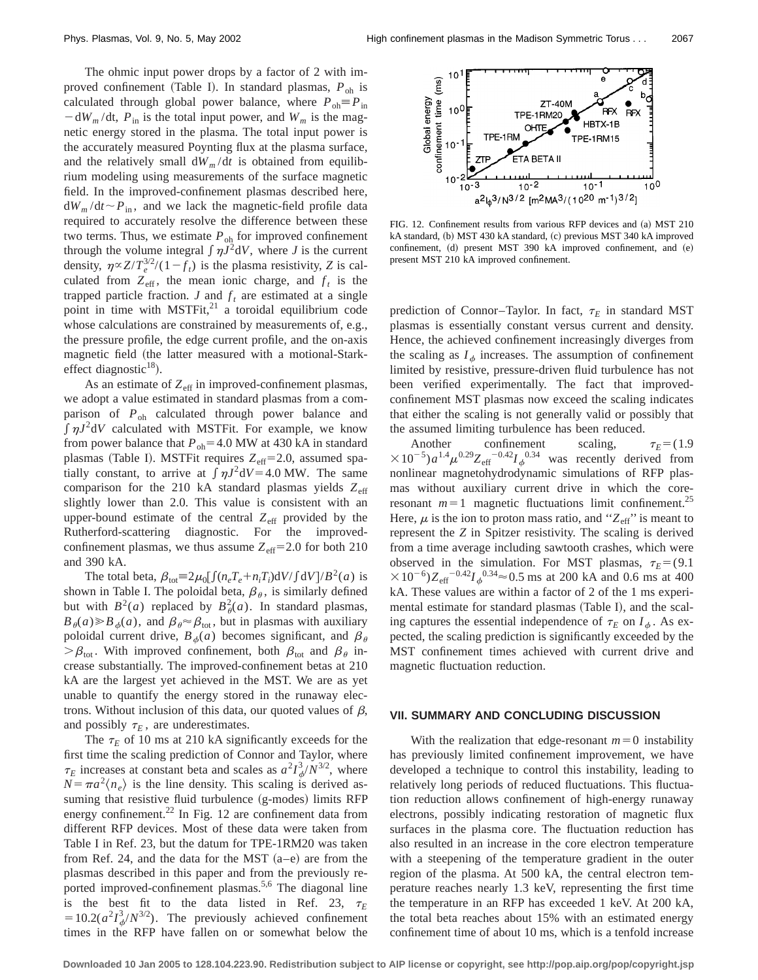The ohmic input power drops by a factor of 2 with improved confinement (Table I). In standard plasmas,  $P_{oh}$  is calculated through global power balance, where  $P_{oh} \equiv P_{in}$  $-\frac{dW_m}{dt}$ ,  $P_{in}$  is the total input power, and  $W_m$  is the magnetic energy stored in the plasma. The total input power is the accurately measured Poynting flux at the plasma surface, and the relatively small  $dW_m/dt$  is obtained from equilibrium modeling using measurements of the surface magnetic field. In the improved-confinement plasmas described here,  $dW_m/dt \sim P_{in}$ , and we lack the magnetic-field profile data required to accurately resolve the difference between these two terms. Thus, we estimate  $P_{oh}$  for improved confinement through the volume integral  $\int \eta J^2 dV$ , where *J* is the current density,  $\eta \propto Z/T_e^{3/2}/(1-f_t)$  is the plasma resistivity, *Z* is calculated from  $Z_{\text{eff}}$ , the mean ionic charge, and  $f_t$  is the trapped particle fraction.  $J$  and  $f_t$  are estimated at a single point in time with  $MSTFit^{21}$  a toroidal equilibrium code whose calculations are constrained by measurements of, e.g., the pressure profile, the edge current profile, and the on-axis magnetic field (the latter measured with a motional-Starkeffect diagnostic $^{18}$ ).

As an estimate of  $Z_{\text{eff}}$  in improved-confinement plasmas, we adopt a value estimated in standard plasmas from a comparison of *P*oh calculated through power balance and  $\int \eta J^2 dV$  calculated with MSTFit. For example, we know from power balance that  $P_{oh}$ =4.0 MW at 430 kA in standard plasmas (Table I). MSTFit requires  $Z_{\text{eff}}=2.0$ , assumed spatially constant, to arrive at  $\int \eta J^2 dV = 4.0 \text{ MW}$ . The same comparison for the 210 kA standard plasmas yields Z<sub>eff</sub> slightly lower than 2.0. This value is consistent with an upper-bound estimate of the central  $Z_{\text{eff}}$  provided by the Rutherford-scattering diagnostic. For the improvedconfinement plasmas, we thus assume  $Z_{\text{eff}}$ =2.0 for both 210 and 390 kA.

The total beta,  $\beta_{\text{tot}} \equiv 2\mu_0 \left[ \int (n_e T_e + n_i T_i) \mathrm{d}V / \int \mathrm{d}V \right] / B^2(a)$  is shown in Table I. The poloidal beta,  $\beta_{\theta}$ , is similarly defined but with  $B^2(a)$  replaced by  $B^2_{\theta}(a)$ . In standard plasmas,  $B_{\theta}(a) \ge B_{\phi}(a)$ , and  $\beta_{\theta} \approx \beta_{\text{tot}}$ , but in plasmas with auxiliary poloidal current drive,  $B_{\phi}(a)$  becomes significant, and  $\beta_{\theta}$  $\beta_{\text{tot}}$ . With improved confinement, both  $\beta_{\text{tot}}$  and  $\beta_{\theta}$  increase substantially. The improved-confinement betas at 210 kA are the largest yet achieved in the MST. We are as yet unable to quantify the energy stored in the runaway electrons. Without inclusion of this data, our quoted values of  $\beta$ , and possibly  $\tau_E$ , are underestimates.

The  $\tau_E$  of 10 ms at 210 kA significantly exceeds for the first time the scaling prediction of Connor and Taylor, where  $\tau_E$  increases at constant beta and scales as  $a^2 I_{\phi}^3 / N^{3/2}$ , where  $N = \pi a^2 \langle n_e \rangle$  is the line density. This scaling is derived assuming that resistive fluid turbulence (g-modes) limits RFP energy confinement. $^{22}$  In Fig. 12 are confinement data from different RFP devices. Most of these data were taken from Table I in Ref. 23, but the datum for TPE-1RM20 was taken from Ref. 24, and the data for the MST  $(a-e)$  are from the plasmas described in this paper and from the previously reported improved-confinement plasmas.<sup>5,6</sup> The diagonal line is the best fit to the data listed in Ref. 23,  $\tau_E$  $=10.2(a^2I_\phi^3/N^{3/2})$ . The previously achieved confinement times in the RFP have fallen on or somewhat below the



FIG. 12. Confinement results from various RFP devices and (a) MST 210 kA standard, (b) MST 430 kA standard, (c) previous MST 340 kA improved confinement, (d) present MST 390 kA improved confinement, and (e) present MST 210 kA improved confinement.

prediction of Connor–Taylor. In fact,  $\tau_E$  in standard MST plasmas is essentially constant versus current and density. Hence, the achieved confinement increasingly diverges from the scaling as  $I_{\phi}$  increases. The assumption of confinement limited by resistive, pressure-driven fluid turbulence has not been verified experimentally. The fact that improvedconfinement MST plasmas now exceed the scaling indicates that either the scaling is not generally valid or possibly that the assumed limiting turbulence has been reduced.

Another confinement scaling,  $\tau_E = (1.9$  $\times 10^{-5}$ ) $a^{1.4}\mu^{0.29}Z_{\text{eff}}$ <sup>-0.42</sup>*I*<sub>φ</sub><sup>0.34</sup> was recently derived from nonlinear magnetohydrodynamic simulations of RFP plasmas without auxiliary current drive in which the coreresonant  $m=1$  magnetic fluctuations limit confinement.<sup>25</sup> Here,  $\mu$  is the ion to proton mass ratio, and " $Z_{\text{eff}}$ " is meant to represent the *Z* in Spitzer resistivity. The scaling is derived from a time average including sawtooth crashes, which were observed in the simulation. For MST plasmas,  $\tau_E = (9.1)$  $310^{-6}$ ) $Z_{\text{eff}}$ <sup>-0.42</sup> $I_{\phi}$ <sup>0.34</sup> $\approx$  0.5 ms at 200 kA and 0.6 ms at 400 kA. These values are within a factor of 2 of the 1 ms experimental estimate for standard plasmas (Table I), and the scaling captures the essential independence of  $\tau_E$  on  $I_{\phi}$ . As expected, the scaling prediction is significantly exceeded by the MST confinement times achieved with current drive and magnetic fluctuation reduction.

### **VII. SUMMARY AND CONCLUDING DISCUSSION**

With the realization that edge-resonant  $m=0$  instability has previously limited confinement improvement, we have developed a technique to control this instability, leading to relatively long periods of reduced fluctuations. This fluctuation reduction allows confinement of high-energy runaway electrons, possibly indicating restoration of magnetic flux surfaces in the plasma core. The fluctuation reduction has also resulted in an increase in the core electron temperature with a steepening of the temperature gradient in the outer region of the plasma. At 500 kA, the central electron temperature reaches nearly 1.3 keV, representing the first time the temperature in an RFP has exceeded 1 keV. At 200 kA, the total beta reaches about 15% with an estimated energy confinement time of about 10 ms, which is a tenfold increase